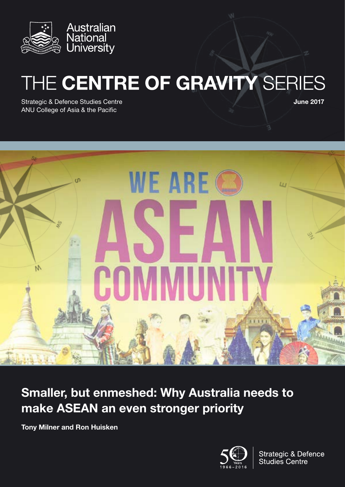

# THE CENTRE OF GRAVITY SERIES

Strategic & Defence Studies Centre ANU College of Asia & the Pacific

June 2017



# Smaller, but enmeshed: Why Australia needs to make ASEAN an even stronger priority

Tony Milner and Ron Huisken



**Strategic & Defence Studies Centre**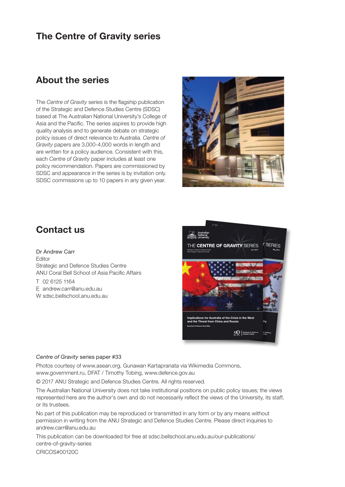## The Centre of Gravity series

### About the series

The *Centre of Gravity* series is the flagship publication of the Strategic and Defence Studies Centre (SDSC) based at The Australian National University's College of Asia and the Pacific. The series aspires to provide high quality analysis and to generate debate on strategic policy issues of direct relevance to Australia. *Centre of Gravity* papers are 3,000-4,000 words in length and are written for a policy audience. Consistent with this, each *Centre of Gravity* paper includes at least one policy recommendation. Papers are commissioned by SDSC and appearance in the series is by invitation only. SDSC commissions up to 10 papers in any given year.



# Contact us

Dr Andrew Carr Editor Strategic and Defence Studies Centre ANU Coral Bell School of Asia Pacific Affairs T 02 6125 1164 E [andrew.carr@anu.edu.au](mailto:andrew.carr%40anu.edu.au?subject=) W sdsc.bellschool.anu.edu.au.



#### *Centre of Gravity* series paper #33

Photos courtesy of www.asean.org, Gunawan Kartapranata via Wikimedia Commons, www.government.ru, DFAT / Timothy Tobing, www.defence.gov.au

© 2017 ANU Strategic and Defence Studies Centre. All rights reserved.

The Australian National University does not take institutional positions on public policy issues; the views represented here are the author's own and do not necessarily reflect the views of the University, its staff, or its trustees.

No part of this publication may be reproduced or transmitted in any form or by any means without permission in writing from the ANU Strategic and Defence Studies Centre. Please direct inquiries to [andrew.carr@anu.edu.au](mailto:andrew.carr%40anu.edu.au?subject=)

This publication can be downloaded for free at [sdsc.bellschool.anu.edu.au/our-publications/](http://sdsc.bellschool.anu.edu.au/our-publications/centre-of-gravity-series) [centre-of-gravity-series](http://sdsc.bellschool.anu.edu.au/our-publications/centre-of-gravity-series)

CRICOS#00120C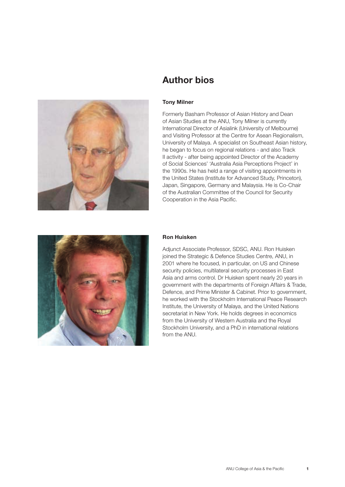

# Author bios

#### Tony Milner

Formerly Basham Professor of Asian History and Dean of Asian Studies at the ANU, Tony Milner is currently International Director of Asialink (University of Melbourne) and Visiting Professor at the Centre for Asean Regionalism, University of Malaya. A specialist on Southeast Asian history, he began to focus on regional relations - and also Track II activity - after being appointed Director of the Academy of Social Sciences' 'Australia Asia Perceptions Project' in the 1990s. He has held a range of visiting appointments in the United States (Institute for Advanced Study, Princeton), Japan, Singapore, Germany and Malaysia. He is Co-Chair of the Australian Committee of the Council for Security Cooperation in the Asia Pacific.



#### Ron Huisken

Adjunct Associate Professor, SDSC, ANU. Ron Huisken joined the Strategic & Defence Studies Centre, ANU, in 2001 where he focused, in particular, on US and Chinese security policies, multilateral security processes in East Asia and arms control. Dr Huisken spent nearly 20 years in government with the departments of Foreign Affairs & Trade, Defence, and Prime Minister & Cabinet. Prior to government, he worked with the Stockholm International Peace Research Institute, the University of Malaya, and the United Nations secretariat in New York. He holds degrees in economics from the University of Western Australia and the Royal Stockholm University, and a PhD in international relations from the ANU.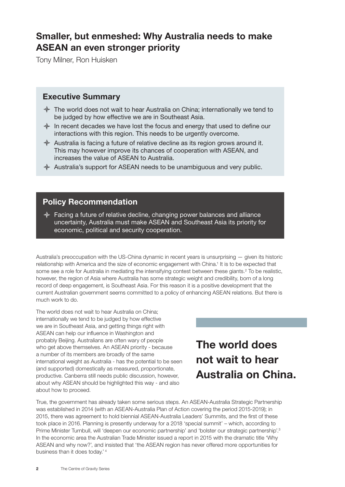# Smaller, but enmeshed: Why Australia needs to make ASEAN an even stronger priority

Tony Milner, Ron Huisken

### Executive Summary

- $\triangle$  The world does not wait to hear Australia on China; internationally we tend to be judged by how effective we are in Southeast Asia.
- $\triangleq$  In recent decades we have lost the focus and energy that used to define our interactions with this region. This needs to be urgently overcome.
- $\triangle$  Australia is facing a future of relative decline as its region grows around it. This may however improve its chances of cooperation with ASEAN, and increases the value of ASEAN to Australia.
- $\triangle$  Australia's support for ASEAN needs to be unambiguous and very public.

### Policy Recommendation

 $\triangle$  Facing a future of relative decline, changing power balances and alliance uncertainty, Australia must make ASEAN and Southeast Asia its priority for economic, political and security cooperation.

Australia's preoccupation with the US-China dynamic in recent years is unsurprising — given its historic relationship with America and the size of economic engagement with China.<sup>1</sup> It is to be expected that some see a role for Australia in mediating the intensifying contest between these giants.<sup>2</sup> To be realistic, however, the region of Asia where Australia has some strategic weight and credibility, born of a long record of deep engagement, is Southeast Asia. For this reason it is a positive development that the current Australian government seems committed to a policy of enhancing ASEAN relations. But there is much work to do.

The world does not wait to hear Australia on China; internationally we tend to be judged by how effective we are in Southeast Asia, and getting things right with ASEAN can help our influence in Washington and probably Beijing. Australians are often wary of people who get above themselves. An ASEAN priority - because a number of its members are broadly of the same international weight as Australia - has the potential to be seen (and supported) domestically as measured, proportionate, productive. Canberra still needs public discussion, however, about why ASEAN should be highlighted this way - and also about how to proceed.

# The world does not wait to hear Australia on China.

True, the government has already taken some serious steps. An ASEAN-Australia Strategic Partnership was established in 2014 (with an ASEAN-Australia Plan of Action covering the period 2015-2019); in 2015, there was agreement to hold biennial ASEAN-Australia Leaders' Summits, and the first of these took place in 2016. Planning is presently underway for a 2018 'special summit' – which, according to Prime Minister Turnbull, will 'deepen our economic partnership' and 'bolster our strategic partnership'.<sup>3</sup> In the economic area the Australian Trade Minister issued a report in 2015 with the dramatic title 'Why ASEAN and why now?', and insisted that 'the ASEAN region has never offered more opportunities for business than it does today.' <sup>4</sup>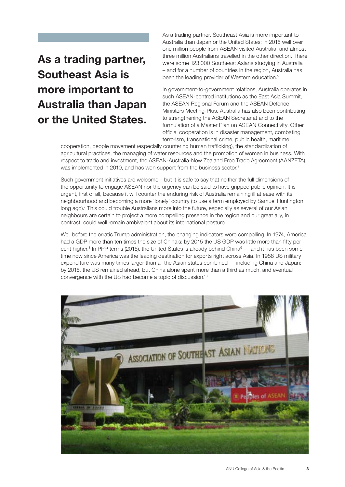# As a trading partner, Southeast Asia is more important to Australia than Japan or the United States.

As a trading partner, Southeast Asia is more important to Australia than Japan or the United States; in 2015 well over one million people from ASEAN visited Australia, and almost three million Australians travelled in the other direction. There were some 123,000 Southeast Asians studying in Australia – and for a number of countries in the region, Australia has been the leading provider of Western education.<sup>5</sup>

In government-to-government relations, Australia operates in such ASEAN-centred institutions as the East Asia Summit, the ASEAN Regional Forum and the ASEAN Defence Ministers Meeting-Plus. Australia has also been contributing to strengthening the ASEAN Secretariat and to the formulation of a Master Plan on ASEAN Connectivity. Other official cooperation is in disaster management, combating terrorism, transnational crime, public health, maritime

cooperation, people movement (especially countering human trafficking), the standardization of agricultural practices, the managing of water resources and the promotion of women in business. With respect to trade and investment, the ASEAN-Australia-New Zealand Free Trade Agreement (AANZFTA), was implemented in 2010, and has won support from the business sector.<sup>6</sup>

Such government initiatives are welcome – but it is safe to say that neither the full dimensions of the opportunity to engage ASEAN nor the urgency can be said to have gripped public opinion. It is urgent, first of all, because it will counter the enduring risk of Australia remaining ill at ease with its neighbourhood and becoming a more 'lonely' country (to use a term employed by Samuel Huntington long ago).<sup>7</sup> This could trouble Australians more into the future, especially as several of our Asian neighbours are certain to project a more compelling presence in the region and our great ally, in contrast, could well remain ambivalent about its international posture.

Well before the erratic Trump administration, the changing indicators were compelling. In 1974, America had a GDP more than ten times the size of China's; by 2015 the US GDP was little more than fifty per cent higher.<sup>8</sup> In PPP terms (2015), the United States is already behind China $9 -$  and it has been some time now since America was the leading destination for exports right across Asia. In 1988 US military expenditure was many times larger than all the Asian states combined — including China and Japan; by 2015, the US remained ahead, but China alone spent more than a third as much, and eventual convergence with the US had become a topic of discussion.10

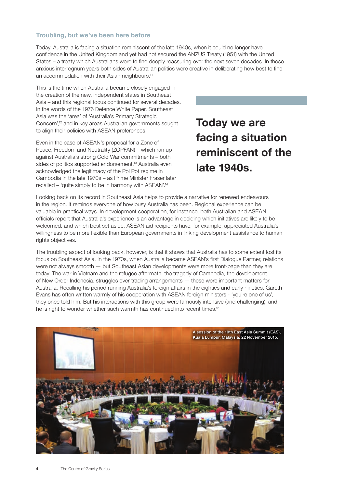#### Troubling, but we've been here before

Today, Australia is facing a situation reminiscent of the late 1940s, when it could no longer have confidence in the United Kingdom and yet had not secured the ANZUS Treaty (1951) with the United States – a treaty which Australians were to find deeply reassuring over the next seven decades. In those anxious interregnum years both sides of Australian politics were creative in deliberating how best to find an accommodation with their Asian neighbours.<sup>11</sup>

This is the time when Australia became closely engaged in the creation of the new, independent states in Southeast Asia – and this regional focus continued for several decades. In the words of the 1976 Defence White Paper, Southeast Asia was the 'area' of 'Australia's Primary Strategic Concern',12 and in key areas Australian governments sought to align their policies with ASEAN preferences.

Even in the case of ASEAN's proposal for a Zone of Peace, Freedom and Neutrality (ZOPFAN) – which ran up against Australia's strong Cold War commitments – both sides of politics supported endorsement.<sup>13</sup> Australia even acknowledged the legitimacy of the Pol Pot regime in Cambodia in the late 1970s – as Prime Minister Fraser later recalled – 'quite simply to be in harmony with ASEAN'.14

Today we are facing a situation reminiscent of the late 1940s.

Looking back on its record in Southeast Asia helps to provide a narrative for renewed endeavours in the region. It reminds everyone of how busy Australia has been. Regional experience can be valuable in practical ways. In development cooperation, for instance, both Australian and ASEAN officials report that Australia's experience is an advantage in deciding which initiatives are likely to be welcomed, and which best set aside. ASEAN aid recipients have, for example, appreciated Australia's willingness to be more flexible than European governments in linking development assistance to human rights objectives.

The troubling aspect of looking back, however, is that it shows that Australia has to some extent lost its focus on Southeast Asia. In the 1970s, when Australia became ASEAN's first Dialogue Partner, relations were not always smooth — but Southeast Asian developments were more front-page than they are today. The war in Vietnam and the refugee aftermath, the tragedy of Cambodia, the development of New Order Indonesia, struggles over trading arrangements — these were important matters for Australia. Recalling his period running Australia's foreign affairs in the eighties and early nineties, Gareth Evans has often written warmly of his cooperation with ASEAN foreign ministers - 'you're one of us', they once told him. But his interactions with this group were famously intensive (and challenging), and he is right to wonder whether such warmth has continued into recent times.<sup>15</sup>

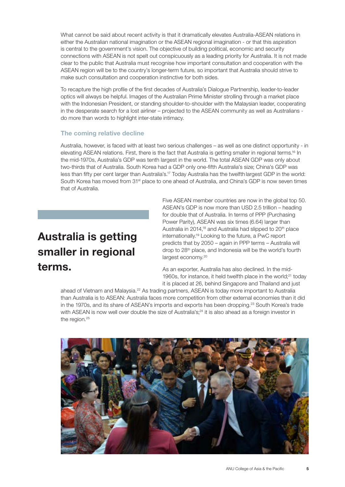What cannot be said about recent activity is that it dramatically elevates Australia-ASEAN relations in either the Australian national imagination or the ASEAN regional imagination - or that this aspiration is central to the government's vision. The objective of building political, economic and security connections with ASEAN is not spelt out conspicuously as a leading priority for Australia. It is not made clear to the public that Australia must recognise how important consultation and cooperation with the ASEAN region will be to the country's longer-term future, so important that Australia should strive to make such consultation and cooperation instinctive for both sides.

To recapture the high profile of the first decades of Australia's Dialogue Partnership, leader-to-leader optics will always be helpful. Images of the Australian Prime Minister strolling through a market place with the Indonesian President, or standing shoulder-to-shoulder with the Malaysian leader, cooperating in the desperate search for a lost airliner – projected to the ASEAN community as well as Australians do more than words to highlight inter-state intimacy.

#### The coming relative decline

Australia, however, is faced with at least two serious challenges – as well as one distinct opportunity - in elevating ASEAN relations. First, there is the fact that Australia is getting smaller in regional terms.<sup>16</sup> In the mid-1970s, Australia's GDP was tenth largest in the world. The total ASEAN GDP was only about two-thirds that of Australia. South Korea had a GDP only one-fifth Australia's size; China's GDP was less than fifty per cent larger than Australia's.17 Today Australia has the twelfth largest GDP in the world: South Korea has moved from 31<sup>st</sup> place to one ahead of Australia, and China's GDP is now seven times that of Australia.

# Australia is getting smaller in regional terms.

Five ASEAN member countries are now in the global top 50. ASEAN's GDP is now more than USD 2.5 trillion – heading for double that of Australia. In terms of PPP (Purchasing Power Parity), ASEAN was six times (6.64) larger than Australia in 2014,<sup>18</sup> and Australia had slipped to 20<sup>th</sup> place internationally.19 Looking to the future, a PwC report predicts that by 2050 – again in PPP terms – Australia will drop to 28<sup>th</sup> place, and Indonesia will be the world's fourth largest economy.<sup>20</sup>

As an exporter, Australia has also declined. In the mid-1960s, for instance, it held twelfth place in the world;<sup>21</sup> today it is placed at 26, behind Singapore and Thailand and just

ahead of Vietnam and Malaysia.<sup>22</sup> As trading partners, ASEAN is today more important to Australia than Australia is to ASEAN: Australia faces more competition from other external economies than it did in the 1970s, and its share of ASEAN's imports and exports has been dropping.23 South Korea's trade with ASEAN is now well over double the size of Australia's;<sup>24</sup> it is also ahead as a foreign investor in the region.<sup>25</sup>

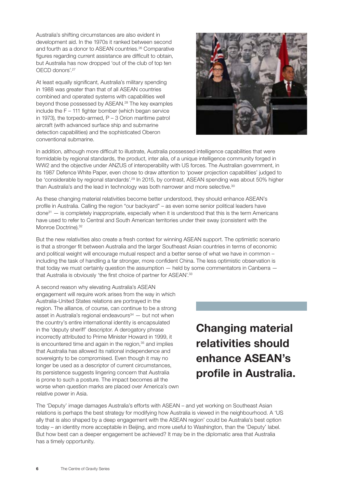Australia's shifting circumstances are also evident in development aid. In the 1970s it ranked between second and fourth as a donor to ASEAN countries.26 Comparative figures regarding current assistance are difficult to obtain, but Australia has now dropped 'out of the club of top ten OECD donors'.27

At least equally significant, Australia's military spending in 1988 was greater than that of all ASEAN countries combined and operated systems with capabilities well beyond those possessed by ASEAN.<sup>28</sup> The key examples include the F – 111 fighter bomber (which began service in 1973), the torpedo-armed,  $P - 3$  Orion maritime patrol aircraft (with advanced surface ship and submarine detection capabilities) and the sophisticated Oberon conventional submarine.



In addition, although more difficult to illustrate, Australia possessed intelligence capabilities that were formidable by regional standards, the product, inter alia, of a unique intelligence community forged in WW2 and the objective under ANZUS of interoperability with US forces. The Australian government, in its 1987 Defence White Paper, even chose to draw attention to 'power projection capabilities' judged to be 'considerable by regional standards'.<sup>29</sup> In 2015, by contrast, ASEAN spending was about 50% higher than Australia's and the lead in technology was both narrower and more selective.<sup>30</sup>

As these changing material relativities become better understood, they should enhance ASEAN's profile in Australia. Calling the region "our backyard" – as even some senior political leaders have  $\beta$ done<sup>31</sup> — is completely inappropriate, especially when it is understood that this is the term Americans have used to refer to Central and South American territories under their sway (consistent with the Monroe Doctrine). 32

But the new relativities also create a fresh context for winning ASEAN support. The optimistic scenario is that a stronger fit between Australia and the larger Southeast Asian countries in terms of economic and political weight will encourage mutual respect and a better sense of what we have in common – including the task of handling a far stronger, more confident China. The less optimistic observation is that today we must certainly question the assumption — held by some commentators in Canberra that Australia is obviously 'the first choice of partner for ASEAN'.<sup>33</sup>

A second reason why elevating Australia's ASEAN engagement will require work arises from the way in which Australia-United States relations are portrayed in the region. The alliance, of course, can continue to be a strong asset in Australia's regional endeavours $34$  – but not when the country's entire international identity is encapsulated in the 'deputy sheriff' descriptor. A derogatory phrase incorrectly attributed to Prime Minister Howard in 1999, it is encountered time and again in the region, $35$  and implies that Australia has allowed its national independence and sovereignty to be compromised. Even though it may no longer be used as a descriptor of current circumstances, its persistence suggests lingering concern that Australia is prone to such a posture. The impact becomes all the worse when question marks are placed over America's own relative power in Asia.

Changing material relativities should enhance ASEAN's profile in Australia.

The 'Deputy' image damages Australia's efforts with ASEAN – and yet working on Southeast Asian relations is perhaps the best strategy for modifying how Australia is viewed in the neighbourhood. A 'US ally that is also shaped by a deep engagement with the ASEAN region' could be Australia's best option today – an identity more acceptable in Beijing, and more useful to Washington, than the 'Deputy' label. But how best can a deeper engagement be achieved? It may be in the diplomatic area that Australia has a timely opportunity.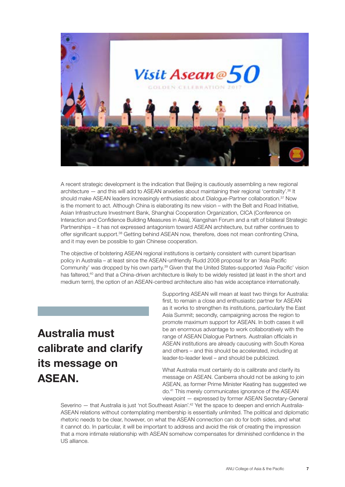

A recent strategic development is the indication that Beijing is cautiously assembling a new regional architecture — and this will add to ASEAN anxieties about maintaining their regional 'centrality'.36 It should make ASEAN leaders increasingly enthusiastic about Dialogue-Partner collaboration.<sup>37</sup> Now is the moment to act. Although China is elaborating its new vision – with the Belt and Road Initiative, Asian Infrastructure Investment Bank, Shanghai Cooperation Organization, CICA (Conference on Interaction and Confidence Building Measures in Asia), Xiangshan Forum and a raft of bilateral Strategic Partnerships – it has not expressed antagonism toward ASEAN architecture, but rather continues to offer significant support.38 Getting behind ASEAN now, therefore, does not mean confronting China, and it may even be possible to gain Chinese cooperation.

The objective of bolstering ASEAN regional institutions is certainly consistent with current bipartisan policy in Australia – at least since the ASEAN-unfriendly Rudd 2008 proposal for an 'Asia Pacific Community' was dropped by his own party.39 Given that the United States-supported 'Asia-Pacific' vision has faltered,<sup>40</sup> and that a China-driven architecture is likely to be widely resisted (at least in the short and medium term), the option of an ASEAN-centred architecture also has wide acceptance internationally.

# Australia must calibrate and clarify its message on **ASFAN**

Supporting ASEAN will mean at least two things for Australia: first, to remain a close and enthusiastic partner for ASEAN as it works to strengthen its institutions, particularly the East Asia Summit; secondly, campaigning across the region to promote maximum support for ASEAN. In both cases it will be an enormous advantage to work collaboratively with the range of ASEAN Dialogue Partners. Australian officials in ASEAN institutions are already caucusing with South Korea and others – and this should be accelerated, including at leader-to-leader level – and should be publicized.

What Australia must certainly do is calibrate and clarify its message on ASEAN. Canberra should not be asking to join ASEAN, as former Prime Minister Keating has suggested we do.41 This merely communicates ignorance of the ASEAN viewpoint — expressed by former ASEAN Secretary-General

Severino - that Australia is just 'not Southeast Asian'.<sup>42</sup> Yet the space to deepen and enrich Australia-ASEAN relations without contemplating membership is essentially unlimited. The political and diplomatic rhetoric needs to be clear, however, on what the ASEAN connection can do for both sides, and what it cannot do. In particular, it will be important to address and avoid the risk of creating the impression that a more intimate relationship with ASEAN somehow compensates for diminished confidence in the US alliance.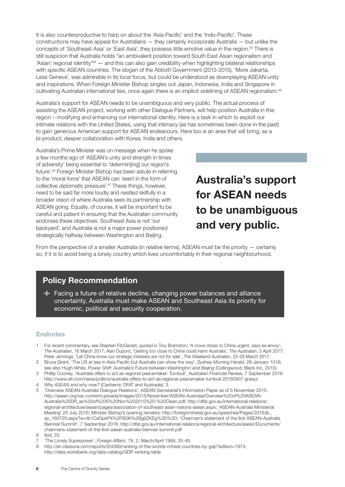It is also counterproductive to harp on about the 'Asia Pacific' and the 'Indo-Pacific'. These constructions may have appeal for Australians — they certainly incorporate Australia — but unlike the concepts of 'Southeast Asia' or 'East Asia', they possess little emotive value in the region.43 There is still suspicion that Australia holds "an ambivalent position toward South East Asian regionalism and 'Asian' regional identity $n44$  — and this can also gain credibility when highlighting bilateral relationships with specific ASEAN countries. The slogan of the Abbott Government (2013-2015), 'More Jakarta, Less Geneva', was admirable in its local focus, but could be understood as downplaying ASEAN unity and inspirations. When Foreign Minister Bishop singles out Japan, Indonesia, India and Singapore in cultivating Australian international ties, once again there is an implicit sidelining of ASEAN regionalism.45

Australia's support for ASEAN needs to be unambiguous and very public. The actual process of assisting the ASEAN project, working with other Dialogue Partners, will help position Australia in this region – modifying and enhancing our international identity. Here is a task in which to exploit our intimate relations with the United States, using that intimacy (as has sometimes been done in the past) to gain generous American support for ASEAN endeavours. Here too is an area that will bring, as a bi-product, deeper collaboration with Korea, India and others.

Australia's Prime Minister was on message when he spoke a few months ago of 'ASEAN's unity and strength in times of adversity' being essential to 'determin[ing] our region's future'.46 Foreign Minister Bishop has been astute in referring to the 'moral force' that ASEAN can 'exert in the form of collective diplomatic pressure'.47 These things, however, need to be said far more loudly and nestled skilfully in a broader vision of where Australia sees its partnership with ASEAN going. Equally, of course, it will be important to be careful and patient in ensuring that the Australian community endorses these objectives. Southeast Asia is not 'our backyard', and Australia is not a major power positioned strategically halfway between Washington and Beijing.

Australia's support for ASEAN needs to be unambiguous and very public.

From the perspective of a smaller Australia (in relative terms), ASEAN must be the priority — certainly so, if it is to avoid being a lonely country which lives uncomfortably in their regional neighbourhood.

### Policy Recommendation

 $\triangle$  Facing a future of relative decline, changing power balances and alliance uncertainty, Australia must make ASEAN and Southeast Asia its priority for economic, political and security cooperation.

#### **Endnotes**

- 1 For recent commentary, see Stephen FitzGerald, quoted in Troy Bramston, 'A move closer to China urgent, says ex-envoy', *The Australian*, 16 March 2017; Alan Dupont, 'Getting too close to China could harm Australia', *The Australian*, 3 April 2017; Peter Jennings, 'Let China know our strategic interests are not for sale', *The Weekend Australian*, 25-26 March 2017.
- 2 Bruce Grant, 'The US at sea in Asia-Pacific but Australia can show the way', *Sydney Morning Herald*, 28 January 1016; see also Hugh White, *Power Shift: Australia's Future between Washington and Beijing* (Collingwood; Black Inc, 2010).
- 3 Phillip Cooney, 'Australia offers to act as regional peacemaker: Turnbull', Australian Financial Review, 7 September 2016: <http://www.afr.com/news/politics/australia-offers-to-act-as-regional-peacemaker-turnbull-20160907-grasyz>
- 4 *Why ASEAN and why now?* (Canberra: DFAT and Austrade), 3.
- 5 'Overview ASEAN-Australia Dialogue Relations', ASEAN Secretariat's Information Paper as of 5 November 2015: [http://asean.org/wp-content/uploads/images/2015/November/ASEAN-Australia/Overview%20of%20ASEAN-](http://asean.org/wp-content/uploads/images/2015/November/ASEAN-Australia/Overview%20of%20ASEAN-Australia%20DR_as%20of%205%20Nov%202015%20-%20Clean.pdf)[Australia%20DR\\_as%20of%205%20Nov%202015%20-%20Clean.pdf](http://asean.org/wp-content/uploads/images/2015/November/ASEAN-Australia/Overview%20of%20ASEAN-Australia%20DR_as%20of%205%20Nov%202015%20-%20Clean.pdf); [http://dfat.gov.au/international-relations/](http://dfat.gov.au/international-relations/regional-architecture/asean/pages/association-of-southeast-asian-nations-asean.aspx) [regional-architecture/asean/pages/association-of-southeast-asian-nations-asean.aspx](http://dfat.gov.au/international-relations/regional-architecture/asean/pages/association-of-southeast-asian-nations-asean.aspx); 'ASEAN-Australia Ministerial Meeting' 25 July 2016; Minister Bishop's opening remarks: [http://foreignminister.gov.au/speeches/Pages/2016/jb\\_](http://foreignminister.gov.au/speeches/Pages/2016/jb_sp_160725.aspx?w=tb1CaGpkPX%2FlS0K%2Bg9ZKEg%3D%3D) [sp\\_160725.aspx?w=tb1CaGpkPX%2FlS0K%2Bg9ZKEg%3D%3D;](http://foreignminister.gov.au/speeches/Pages/2016/jb_sp_160725.aspx?w=tb1CaGpkPX%2FlS0K%2Bg9ZKEg%3D%3D) 'Chairman's statement of the first ASEAN-Australia Biennial Summit', 7 September 2016: [http://dfat.gov.au/international-relations/regional-architecture/asean/Documents/](http://dfat.gov.au/international-relations/regional-architecture/asean/Documents/chairmans-statement-of-the-first-asean-australia-biennial-summit.pdf) [chairmans-statement-of-the-first-asean-australia-biennial-summit.pdf](http://dfat.gov.au/international-relations/regional-architecture/asean/Documents/chairmans-statement-of-the-first-asean-australia-biennial-summit.pdf)
- 6 Ibid, 33.
- 7 'The Lonely Superpower', *Foreign Affairs*, 78, 2, March/April 1999, 35-49.
- 8 <http://en.classora.com/reports/t24369/ranking-of-the-worlds-richest-countries-by-gdp?edition=1974>; <http://data.worldbank.org/data-catalog/GDP-ranking-table>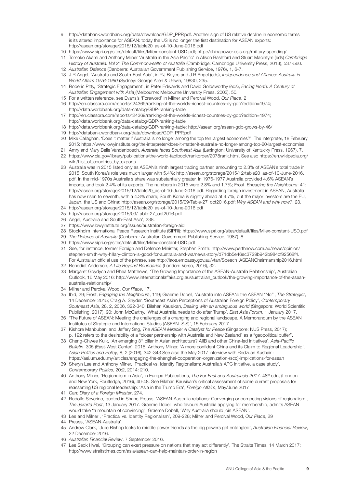- 9 [http://databank.worldbank.org/data/download/GDP\\_PPP.pdf](http://databank.worldbank.org/data/download/GDP_PPP.pdf). Another sign of US relative decline in economic terms is its altered importance for ASEAN: today the US is no longer the first destination for ASEAN exports: [http://asean.org/storage/2015/12/table20\\_as-of-10-June-2016.pdf](http://asean.org/storage/2015/12/table20_as-of-10-June-2016.pdf)
- 10 [https://www.sipri.org/sites/default/files/Milex-constant-USD.pdf;](https://www.sipri.org/sites/default/files/Milex-constant-USD.pdf)<http://chinapower.csis.org/military-spending/>
- 11 Tomoko Akami and Anthony Milner 'Australia in the Asia Pacific' in Alison Bashford and Stuart Macintyre (eds) *Cambridge History of Australia. Vol 2: The Commonwealth of Australia* (Cambridge: Cambridge University Press, 2013), 537-560.
- 12 *Australian Defence* (Canberra: Australian Government Publishing Service, 1976), 1, 6-7. 13 J.R.Angel, 'Australia and South-East Asia', in P.J.Boyce and J.R.Angel (eds), *Independence and Alliance: Australia in World Affairs 1976-1980* (Sydney: George Allen & Unwin, 19830, 235.
- 14 Roderic Pitty, 'Strategic Engagement', in Peter Edwards and David Goldsworthy (eds), *Facing North: A Century of Australian Engagement with Asia* (Melbourne: Melbourne University Press, 2003), 50.
- 15 For a written reference, see Evans's 'Foreword' in Milner and Percival Wood, *Our Place*, 2
- 16 [http://en.classora.com/reports/t24369/ranking-of-the-worlds-richest-countries-by-gdp?edition=1974;](http://en.classora.com/reports/t24369/ranking-of-the-worlds-richest-countries-by-gdp?edition=1974) <http://data.worldbank.org/data-catalog/GDP-ranking-table>
- 17 [http://en.classora.com/reports/t24369/ranking-of-the-worlds-richest-countries-by-gdp?edition=1974;](http://en.classora.com/reports/t24369/ranking-of-the-worlds-richest-countries-by-gdp?edition=1974) <http://data.worldbank.org/data-catalog/GDP-ranking-table>
- 18 <http://data.worldbank.org/data-catalog/GDP-ranking-table>; <http://asean.org/asean-gdp-grows-by-46/>
- 19 [http://databank.worldbank.org/data/download/GDP\\_PPP.pdf](http://databank.worldbank.org/data/download/GDP_PPP.pdf)
- 20 Mike Callaghan, 'Does it matter if Australia is no longer among the top ten largest economies?', The Interpreter, 18 February 2015: <https://www.lowyinstitute.org/the-interpreter/does-it-matter-if-australia-no-longer-among-top-20-largest-economies>
- 21 Amry and Mary Belle Vandenbosch, *Australia faces Southeast Asia* (Lexington: University of Kentucky Press, 1967), 7. 22 [https://www.cia.gov/library/publications/the-world-factbook/rankorder/2078rank.html.](https://www.cia.gov/library/publications/the-world-factbook/rankorder/2078rank.html) See also [https://en.wikipedia.org/](https://en.wikipedia.org/wiki/List_of_countries_by_exports) [wiki/List\\_of\\_countries\\_by\\_exports](https://en.wikipedia.org/wiki/List_of_countries_by_exports)
- 23 Australia was in 2015 listed only as ASEAN's ninth largest trading partner, amounting to 2.3% of ASEAN's total trade in 2015. South Korea's role was much larger with 5.4%: [http://asean.org/storage/2015/12/table20\\_as-of-10-June-2016.](http://asean.org/storage/2015/12/table20_as-of-10-June-2016.pdf) [pdf](http://asean.org/storage/2015/12/table20_as-of-10-June-2016.pdf). In the mid-1970s Australia's share was substantially greater. In 1976-1977 Australia provided 4.6% ASEAN's imports, and took 2.4% of its exports. The numbers in 2015 were 2.8% and 1.7%; Frost, *Engaging the Neighbours*: 41; [http://asean.org/storage/2015/12/table20\\_as-of-10-June-2016.pdf.](http://asean.org/storage/2015/12/table20_as-of-10-June-2016.pdf) Regarding foreign investment in ASEAN, Australia has now risen to seventh, with a 4.3% share; South Korea is slightly ahead at 4.7%, but the major investors are the EU, Japan, the US and China: [http://asean.org/storage/2015/09/Table-27\\_oct2016.pdf;](http://asean.org/storage/2015/09/Table-27_oct2016.pdf) *Why ASEAN and why now?*, 23.
- 24 [http://asean.org/storage/2015/12/table20\\_as-of-10-June-2016.pdf](http://asean.org/storage/2015/12/table20_as-of-10-June-2016.pdf)
- 25 [http://asean.org/storage/2015/09/Table-27\\_oct2016.pdf](http://asean.org/storage/2015/09/Table-27_oct2016.pdf)
- 26 Angel, Australia and South-East Asia', 238.
- 27 <https://www.lowyinstitute.org/issues/australian-foreign-aid>
- 28 Stockholm International Peace Research Institute (SIPRI):<https://www.sipri.org/sites/default/files/Milex-constant-USD.pdf>
- 29 *The Defence of Australia* (Canberra: Australian Government Publishing Service, 1987), 8.
- 30 <https://www.sipri.org/sites/default/files/Milex-constant-USD.pdf>
- 31 See, for instance, former Foreign and Defence Minister, Stephen Smith: [http://www.perthnow.com.au/news/opinion/](http://www.perthnow.com.au/news/opinion/stephen-smith-why-hillary-clinton-is-good-for-australia-and-wa/news-story/d71db5e46ec3729b942b984cf92568f4) [stephen-smith-why-hillary-clinton-is-good-for-australia-and-wa/news-story/d71db5e46ec3729b942b984cf92568f4.](http://www.perthnow.com.au/news/opinion/stephen-smith-why-hillary-clinton-is-good-for-australia-and-wa/news-story/d71db5e46ec3729b942b984cf92568f4) For Australian official use of the phrase, see [http://laos.embassy.gov.au/vtan/Speech\\_ASEANChairmanship2016.html](http://laos.embassy.gov.au/vtan/Speech_ASEANChairmanship2016.html)
- 32 Benedict Anderson, *A Life Beyond Boundaries* (London: Verso, 2016), 32.
- 33 Margaret Goydych and Rhea Matthews, 'The Growing Importance of the ASEAN-Australia Relationship', Australian Outlook, 16 May 2016: [http://www.internationalaffairs.org.au/australian\\_outlook/the-growing-importance-of-the-asean](http://www.internationalaffairs.org.au/australian_outlook/the-growing-importance-of-the-asean-australia-relationship/)[australia-relationship/](http://www.internationalaffairs.org.au/australian_outlook/the-growing-importance-of-the-asean-australia-relationship/)
- 34 Milner and Percival Wood, *Our Place*, 17.
- 35 Ibid, 29; Frost, *Engaging the Neighbours*, 119; Graeme Dobell, 'Australia into ASEAN: the ASEAN "No"', *The Strategist*, 14 December 2015; Craig A. Snyder, 'Southeast Asian Perceptions of Australian Foreign Policy', *Contemporary Southeast Asia*, 28, 2, 2006, 322-340; Bilahari Kausikan, *Dealing with an ambiguous world* (Singapore: World Scientific Publishing, 2017), 90; John McCarthy, 'What Australia needs to do after Trump', *East Asia Forum*, 1 January 2017.
- 36 'The Future of ASEAN: Meeting the challenges of a changing and regional landscape, A Memorandum by the ASEAN Institutes of Strategic and International Studies (ASEAN-ISIS)', 15 February 2017
- 37 Kishore Mahbubani and Jeffery Sng, *The ASEAN Miracle: A Catalyst for Peace* (Singapore: NUS Press, 2017); p. 192 refers to the desirability of a "closer partnership with Australia and New Zealand" as a "geopolitical buffer".
- 38 Cheng-Chwee Kuik, 'An emerging 3rd pillar in Asian architecture? AIIB and other China-led initiatives', *Asia-Pacific Bulletin*, 305 (East-West Center), 2015; Anthony Milner, 'A more confident China and its Claim to Regional Leadership', *Asian Politics and Policy*, 8, 2 (2016), 342-343 See also the May 2017 interview with Redzuan Kushairi: [https://aei.um.edu.my/articles/engaging-the-shanghai-cooperation-organization-\(sco\)-implications-for-asean](https://aei.um.edu.my/articles/engaging-the-shanghai-cooperation-organization-(sco)-implications-for-asean)
- 39 Sheryn Lee and Anthony Milner, 'Practical vs. Identity Regionalism: Australia's APC initiative, a case study', *Contemporary Politics*, 20:2, 2014: 210.
- 40 Anthony Milner, 'Regionalism in Asia', in Europa Publications, *The Far East and Australasia 2017*. 48<sup>th</sup> edn, (London and New York, Routledge, 2016), 40-48. See Bilahari Kausikan's critical assessment of some current proposals for reasserting US regional leadership: 'Asia in the Trump Era', *Foreign Affairs*, May/June 2017
- 41 Carr, *Diary of a Foreign Minister*, 274.
- 42 Rodolfo Severino, quoted in Shane Preuss, 'ASEAN-Australia relations: Converging or competing visions of regionalism', *The Jakarta Post*, 13 January 2017. Graeme Dobell, who favours Australia applying for membership, admits ASEAN would take "a mountain of convincing"; Graeme Dobell, 'Why Australia should join ASEAN'.
- 43 Lee and Milner , 'Practical vs. Identity Regionalism', 209-228; Milner and Percival Wood, *Our Place*, 29
- 44 Preuss, 'ASEAN-Australia'.
- 45 Andrew Clark, 'Julie Bishop looks to middle power friends as the big powers get entangled', *Australian Financial Review*, 22 December 2016.
- 46 *Australian Financial Review*, 7 September 2016.
- 47 Lee Seok Hwai, 'Grouping can exert pressure on nations that may act differently', The Straits Times, 14 March 2017: <http://www.straitstimes.com/asia/asean-can-help-maintain-order-in-region>